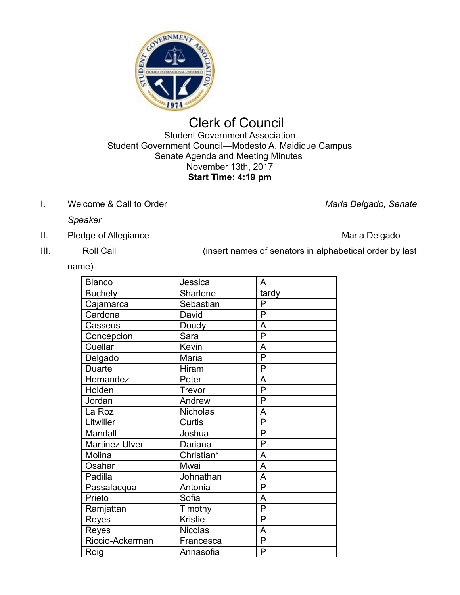

# Clerk of Council Student Government Association Student Government Council—Modesto A. Maidique Campus Senate Agenda and Meeting Minutes November 13th, 2017

## **Start Time: 4:19 pm**

I. Welcome & Call to Order *Maria Delgado, Senate* 

*Speaker*

- II. Pledge of Allegiance **Maria Delgado** Maria Delgado
- 

III. Roll Call **Roll Call** (insert names of senators in alphabetical order by last

name)

| <b>Blanco</b>         | Jessica        | A                       |
|-----------------------|----------------|-------------------------|
| <b>Buchely</b>        | Sharlene       | tardy                   |
| Cajamarca             | Sebastian      | P                       |
| Cardona               | David          | $\overline{\mathsf{P}}$ |
| Casseus               | Doudy          | A                       |
| Concepcion            | Sara           | P                       |
| Cuellar               | Kevin          | A                       |
| Delgado               | Maria          | $\overline{\mathsf{P}}$ |
| Duarte                | Hiram          | P                       |
| Hernandez             | Peter          | A                       |
| Holden                | Trevor         | P                       |
| Jordan                | Andrew         | P                       |
| La Roz                | Nicholas       | A                       |
| Litwiller             | Curtis         | P                       |
| Mandall               | Joshua         | P                       |
| <b>Martinez Ulver</b> | Dariana        | P                       |
| Molina                | Christian*     | A                       |
| Osahar                | Mwai           | A                       |
| Padilla               | Johnathan      | A                       |
| Passalacqua           | Antonia        | P                       |
| Prieto                | Sofia          | A                       |
| Ramjattan             | Timothy        | P                       |
| Reyes                 | <b>Kristie</b> | P                       |
| Reyes                 | <b>Nicolas</b> | A                       |
| Riccio-Ackerman       | Francesca      | P                       |
| Roig                  | Annasofia      | P                       |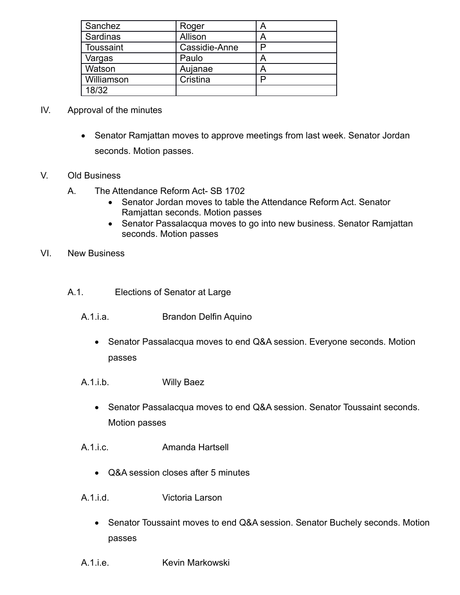| Sanchez    | Roger         | Α |
|------------|---------------|---|
| Sardinas   | Allison       | A |
| Toussaint  | Cassidie-Anne |   |
| Vargas     | Paulo         |   |
| Watson     | Aujanae       |   |
| Williamson | Cristina      |   |
| 18/32      |               |   |

#### IV. Approval of the minutes

• Senator Ramjattan moves to approve meetings from last week. Senator Jordan seconds. Motion passes.

#### V. Old Business

- A. The Attendance Reform Act- SB 1702
	- Senator Jordan moves to table the Attendance Reform Act. Senator Ramjattan seconds. Motion passes
	- Senator Passalacqua moves to go into new business. Senator Ramjattan seconds. Motion passes

#### VI. New Business

- A.1. Elections of Senator at Large
	- A.1.i.a. Brandon Delfin Aquino
		- Senator Passalacqua moves to end Q&A session. Everyone seconds. Motion passes
	- A.1.i.b. Willy Baez
		- Senator Passalacqua moves to end Q&A session. Senator Toussaint seconds. Motion passes
	- A.1.i.c. Amanda Hartsell
		- Q&A session closes after 5 minutes
	- A.1.i.d. Victoria Larson
		- Senator Toussaint moves to end Q&A session. Senator Buchely seconds. Motion passes
	- A.1.i.e. **Kevin Markowski**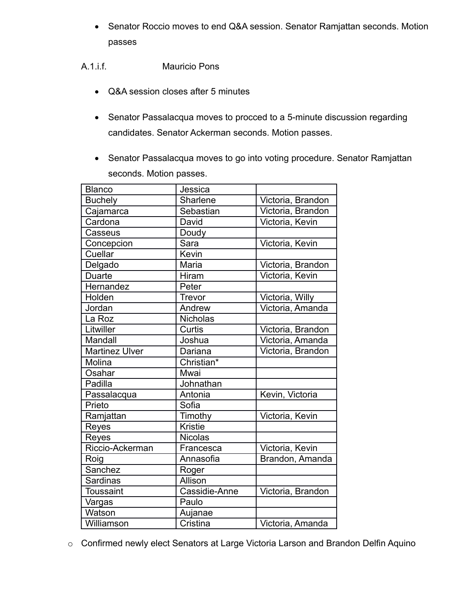• Senator Roccio moves to end Q&A session. Senator Ramjattan seconds. Motion passes

A.1.i.f. Mauricio Pons

- Q&A session closes after 5 minutes
- Senator Passalacqua moves to procced to a 5-minute discussion regarding candidates. Senator Ackerman seconds. Motion passes.
- Senator Passalacqua moves to go into voting procedure. Senator Ramjattan seconds. Motion passes.

| <b>Blanco</b>         | Jessica         |                   |
|-----------------------|-----------------|-------------------|
| <b>Buchely</b>        | Sharlene        | Victoria, Brandon |
| Cajamarca             | Sebastian       | Victoria, Brandon |
| Cardona               | David           | Victoria, Kevin   |
| Casseus               | Doudy           |                   |
| Concepcion            | Sara            | Victoria, Kevin   |
| Cuellar               | Kevin           |                   |
| Delgado               | Maria           | Victoria, Brandon |
| <b>Duarte</b>         | Hiram           | Victoria, Kevin   |
| Hernandez             | Peter           |                   |
| Holden                | Trevor          | Victoria, Willy   |
| Jordan                | Andrew          | Victoria, Amanda  |
| La Roz                | <b>Nicholas</b> |                   |
| Litwiller             | Curtis          | Victoria, Brandon |
| Mandall               | Joshua          | Victoria, Amanda  |
| <b>Martinez Ulver</b> | Dariana         | Victoria, Brandon |
| Molina                | Christian*      |                   |
| Osahar                | Mwai            |                   |
| Padilla               | Johnathan       |                   |
| Passalacqua           | Antonia         | Kevin, Victoria   |
| Prieto                | Sofia           |                   |
| Ramjattan             | Timothy         | Victoria, Kevin   |
| Reyes                 | <b>Kristie</b>  |                   |
| Reyes                 | <b>Nicolas</b>  |                   |
| Riccio-Ackerman       | Francesca       | Victoria, Kevin   |
| Roig                  | Annasofia       | Brandon, Amanda   |
| Sanchez               | Roger           |                   |
| Sardinas              | Allison         |                   |
| <b>Toussaint</b>      | Cassidie-Anne   | Victoria, Brandon |
| Vargas                | Paulo           |                   |
| Watson                | Aujanae         |                   |
| Williamson            | Cristina        | Victoria, Amanda  |

o Confirmed newly elect Senators at Large Victoria Larson and Brandon Delfin Aquino